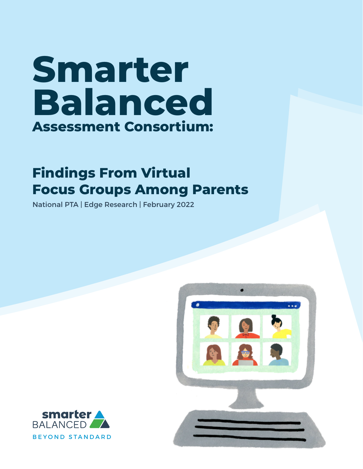# **Smarter Balanced Assessment Consortium:**

# **Findings From Virtual Focus Groups Among Parents**

National PTA | Edge Research | February 2022



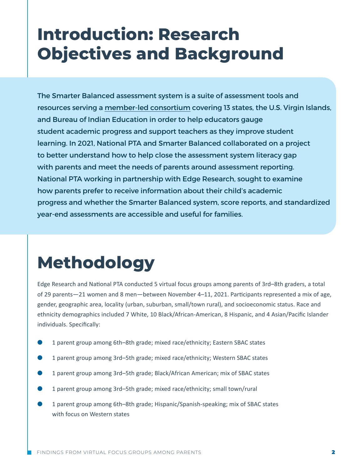# **Introduction: Research Objectives and Background**

The Smarter Balanced assessment system is a suite of assessment tools and resources serving a [member-led consortium](https://smarterbalanced.org/our-vision/partnerships/) covering 13 states, the U.S. Virgin Islands, and Bureau of Indian Education in order to help educators gauge student academic progress and support teachers as they improve student learning. In 2021, National PTA and Smarter Balanced collaborated on a project to better understand how to help close the assessment system literacy gap with parents and meet the needs of parents around assessment reporting. National PTA working in partnership with Edge Research, sought to examine how parents prefer to receive information about their child's academic progress and whether the Smarter Balanced system, score reports, and standardized year-end assessments are accessible and useful for families.

# **Methodology**

Edge Research and National PTA conducted 5 virtual focus groups among parents of 3rd–8th graders, a total of 29 parents—21 women and 8 men—between November 4–11, 2021. Participants represented a mix of age, gender, geographic area, locality (urban, suburban, small/town rural), and socioeconomic status. Race and ethnicity demographics included 7 White, 10 Black/African-American, 8 Hispanic, and 4 Asian/Pacific Islander individuals. Specifically:

- 1 parent group among 6th–8th grade; mixed race/ethnicity; Eastern SBAC states
- 1 parent group among 3rd-5th grade; mixed race/ethnicity; Western SBAC states
- 1 parent group among 3rd-5th grade; Black/African American; mix of SBAC states
- 1 parent group among 3rd–5th grade; mixed race/ethnicity; small town/rural
- 1 parent group among 6th–8th grade; Hispanic/Spanish-speaking; mix of SBAC states with focus on Western states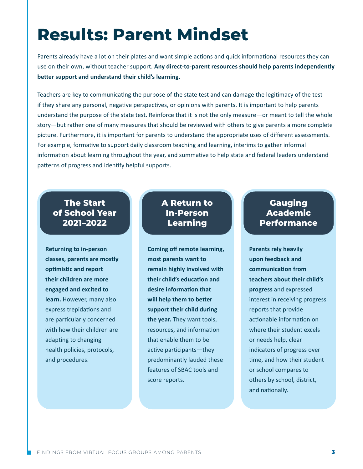# **Results: Parent Mindset**

Parents already have a lot on their plates and want simple actions and quick informational resources they can use on their own, without teacher support. **Any direct-to-parent resources should help parents independently better support and understand their child's learning.**

Teachers are key to communicating the purpose of the state test and can damage the legitimacy of the test if they share any personal, negative perspectives, or opinions with parents. It is important to help parents understand the purpose of the state test. Reinforce that it is not the only measure—or meant to tell the whole story—but rather one of many measures that should be reviewed with others to give parents a more complete picture. Furthermore, it is important for parents to understand the appropriate uses of different assessments. For example, formative to support daily classroom teaching and learning, interims to gather informal information about learning throughout the year, and summative to help state and federal leaders understand patterns of progress and identify helpful supports.

### **The Start of School Year 2021–2022**

**Returning to in-person classes, parents are mostly optimistic and report their children are more engaged and excited to learn.** However, many also express trepidations and are particularly concerned with how their children are adapting to changing health policies, protocols, and procedures.

### **A Return to In-Person Learning**

**Coming off remote learning, most parents want to remain highly involved with their child's education and desire information that will help them to better support their child during the year.** They want tools, resources, and information that enable them to be active participants—they predominantly lauded these features of SBAC tools and score reports.

### **Gauging Academic Performance**

**Parents rely heavily upon feedback and communication from teachers about their child's progress** and expressed interest in receiving progress reports that provide actionable information on where their student excels or needs help, clear indicators of progress over time, and how their student or school compares to others by school, district, and nationally.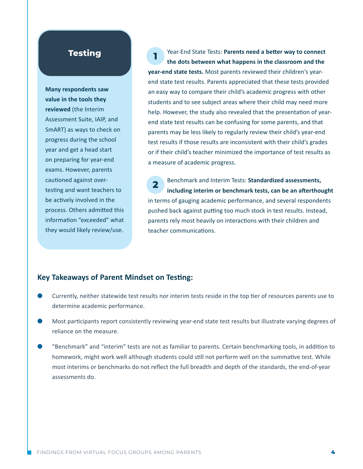### **Testing**

**Many respondents saw value in the tools they reviewed** (the Interim Assessment Suite, IAIP, and SmART) as ways to check on progress during the school year and get a head start on preparing for year-end exams. However, parents cautioned against overtesting and want teachers to be actively involved in the process. Others admitted this information "exceeded" what they would likely review/use.

**1**  Year-End State Tests: **Parents need a better way to connect the dots between what happens in the classroom and the year-end state tests.** Most parents reviewed their children's yearend state test results. Parents appreciated that these tests provided an easy way to compare their child's academic progress with other students and to see subject areas where their child may need more help. However, the study also revealed that the presentation of yearend state test results can be confusing for some parents, and that parents may be less likely to regularly review their child's year-end test results if those results are inconsistent with their child's grades or if their child's teacher minimized the importance of test results as a measure of academic progress.

**2**  Benchmark and Interim Tests: **Standardized assessments, including interim or benchmark tests, can be an afterthought** in terms of gauging academic performance, and several respondents pushed back against putting too much stock in test results. Instead, parents rely most heavily on interactions with their children and teacher communications.

#### **Key Takeaways of Parent Mindset on Testing:**

- Currently, neither statewide test results nor interim tests reside in the top tier of resources parents use to determine academic performance.
- Most participants report consistently reviewing year-end state test results but illustrate varying degrees of reliance on the measure.
- "Benchmark" and "interim" tests are not as familiar to parents. Certain benchmarking tools, in addition to homework, might work well although students could still not perform well on the summative test. While most interims or benchmarks do not reflect the full breadth and depth of the standards, the end-of-year assessments do.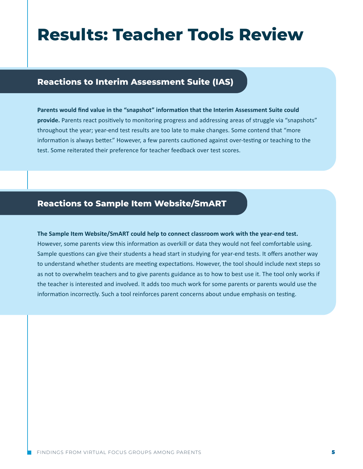# **Results: Teacher Tools Review**

### **Reactions to Interim Assessment Suite (IAS)**

**Parents would find value in the "snapshot" information that the Interim Assessment Suite could provide.** Parents react positively to monitoring progress and addressing areas of struggle via "snapshots" throughout the year; year-end test results are too late to make changes. Some contend that "more information is always better." However, a few parents cautioned against over-testing or teaching to the test. Some reiterated their preference for teacher feedback over test scores.

### **Reactions to Sample Item Website/SmART**

**The Sample Item Website/SmART could help to connect classroom work with the year-end test.** However, some parents view this information as overkill or data they would not feel comfortable using. Sample questions can give their students a head start in studying for year-end tests. It offers another way to understand whether students are meeting expectations. However, the tool should include next steps so as not to overwhelm teachers and to give parents guidance as to how to best use it. The tool only works if the teacher is interested and involved. It adds too much work for some parents or parents would use the information incorrectly. Such a tool reinforces parent concerns about undue emphasis on testing.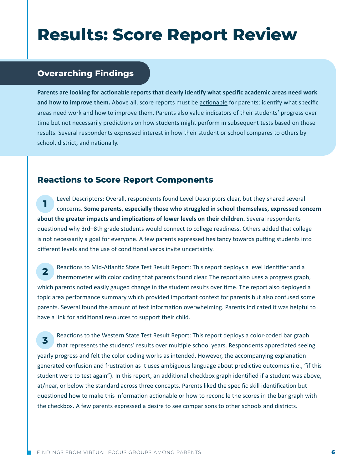# **Results: Score Report Review**

## **Overarching Findings**

**Parents are looking for actionable reports that clearly identify what specific academic areas need work and how to improve them.** Above all, score reports must be actionable for parents: identify what specific areas need work and how to improve them. Parents also value indicators of their students' progress over time but not necessarily predictions on how students might perform in subsequent tests based on those results. Several respondents expressed interest in how their student or school compares to others by school, district, and nationally.

### **Reactions to Score Report Components**

**1** Level Descriptors: Overall, respondents found Level Descriptors clear, but they shared several concerns. **Some parents, especially those who struggled in school themselves, expressed concern about the greater impacts and implications of lower levels on their children.** Several respondents questioned why 3rd–8th grade students would connect to college readiness. Others added that college is not necessarily a goal for everyone. A few parents expressed hesitancy towards putting students into different levels and the use of conditional verbs invite uncertainty.

**2 Reactions to Mid-Atlantic State Test Result Report: This report deploys a level identifier and a** thermometer with color coding that parents found clear. The report also uses a progress graph, which parents noted easily gauged change in the student results over time. The report also deployed a topic area performance summary which provided important context for parents but also confused some parents. Several found the amount of text information overwhelming. Parents indicated it was helpful to have a link for additional resources to support their child.

**3** Reactions to the Western State Test Result Report: This report deploys a color-coded bar graph that represents the students' results over multiple school years. Respondents appreciated seeing yearly progress and felt the color coding works as intended. However, the accompanying explanation generated confusion and frustration as it uses ambiguous language about predictive outcomes (i.e., "if this student were to test again"). In this report, an additional checkbox graph identified if a student was above, at/near, or below the standard across three concepts. Parents liked the specific skill identification but questioned how to make this information actionable or how to reconcile the scores in the bar graph with the checkbox. A few parents expressed a desire to see comparisons to other schools and districts.